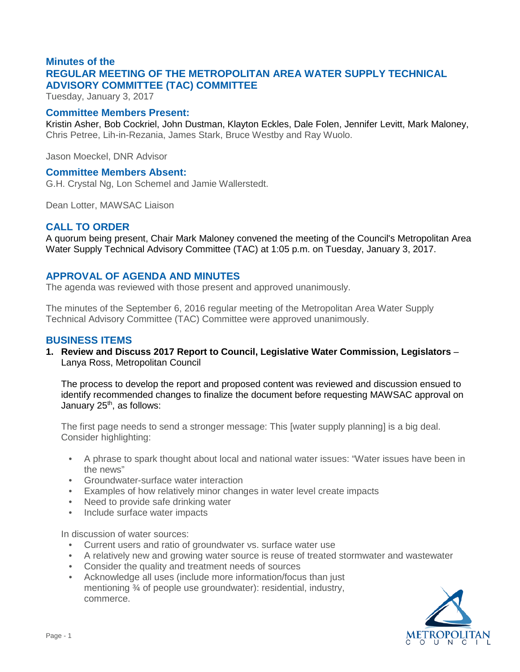# **Minutes of the REGULAR MEETING OF THE METROPOLITAN AREA WATER SUPPLY TECHNICAL ADVISORY COMMITTEE (TAC) COMMITTEE**

Tuesday, January 3, 2017

#### **Committee Members Present:**

Kristin Asher, Bob Cockriel, John Dustman, Klayton Eckles, Dale Folen, Jennifer Levitt, Mark Maloney, Chris Petree, Lih-in-Rezania, James Stark, Bruce Westby and Ray Wuolo.

Jason Moeckel, DNR Advisor

#### **Committee Members Absent:**

G.H. Crystal Ng, Lon Schemel and Jamie Wallerstedt.

Dean Lotter, MAWSAC Liaison

# **CALL TO ORDER**

A quorum being present, Chair Mark Maloney convened the meeting of the Council's Metropolitan Area Water Supply Technical Advisory Committee (TAC) at 1:05 p.m. on Tuesday, January 3, 2017.

# **APPROVAL OF AGENDA AND MINUTES**

The agenda was reviewed with those present and approved unanimously.

The minutes of the September 6, 2016 regular meeting of the Metropolitan Area Water Supply Technical Advisory Committee (TAC) Committee were approved unanimously.

# **BUSINESS ITEMS**

**1. Review and Discuss 2017 Report to Council, Legislative Water Commission, Legislators** – Lanya Ross, Metropolitan Council

The process to develop the report and proposed content was reviewed and discussion ensued to identify recommended changes to finalize the document before requesting MAWSAC approval on January 25<sup>th</sup>, as follows:

The first page needs to send a stronger message: This [water supply planning] is a big deal. Consider highlighting:

- A phrase to spark thought about local and national water issues: "Water issues have been in the news"
- Groundwater-surface water interaction
- Examples of how relatively minor changes in water level create impacts
- Need to provide safe drinking water
- Include surface water impacts

In discussion of water sources:

- Current users and ratio of groundwater vs. surface water use
- A relatively new and growing water source is reuse of treated stormwater and wastewater
- Consider the quality and treatment needs of sources
- Acknowledge all uses (include more information/focus than just mentioning ¾ of people use groundwater): residential, industry, commerce.

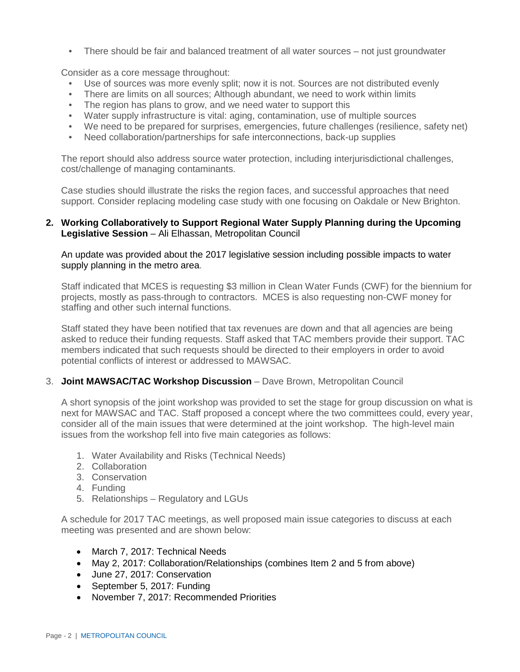There should be fair and balanced treatment of all water sources – not just groundwater

Consider as a core message throughout:

- Use of sources was more evenly split; now it is not. Sources are not distributed evenly
- There are limits on all sources; Although abundant, we need to work within limits
- The region has plans to grow, and we need water to support this
- Water supply infrastructure is vital: aging, contamination, use of multiple sources
- We need to be prepared for surprises, emergencies, future challenges (resilience, safety net)
- Need collaboration/partnerships for safe interconnections, back-up supplies

The report should also address source water protection, including interjurisdictional challenges, cost/challenge of managing contaminants.

Case studies should illustrate the risks the region faces, and successful approaches that need support. Consider replacing modeling case study with one focusing on Oakdale or New Brighton.

### **2. Working Collaboratively to Support Regional Water Supply Planning during the Upcoming Legislative Session** – Ali Elhassan, Metropolitan Council

An update was provided about the 2017 legislative session including possible impacts to water supply planning in the metro area.

Staff indicated that MCES is requesting \$3 million in Clean Water Funds (CWF) for the biennium for projects, mostly as pass-through to contractors. MCES is also requesting non-CWF money for staffing and other such internal functions.

Staff stated they have been notified that tax revenues are down and that all agencies are being asked to reduce their funding requests. Staff asked that TAC members provide their support. TAC members indicated that such requests should be directed to their employers in order to avoid potential conflicts of interest or addressed to MAWSAC.

#### 3. **Joint MAWSAC/TAC Workshop Discussion** – Dave Brown, Metropolitan Council

A short synopsis of the joint workshop was provided to set the stage for group discussion on what is next for MAWSAC and TAC. Staff proposed a concept where the two committees could, every year, consider all of the main issues that were determined at the joint workshop. The high-level main issues from the workshop fell into five main categories as follows:

- 1. Water Availability and Risks (Technical Needs)
- 2. Collaboration
- 3. Conservation
- 4. Funding
- 5. Relationships Regulatory and LGUs

A schedule for 2017 TAC meetings, as well proposed main issue categories to discuss at each meeting was presented and are shown below:

- March 7, 2017: Technical Needs
- May 2, 2017: Collaboration/Relationships (combines Item 2 and 5 from above)
- June 27, 2017: Conservation
- September 5, 2017: Funding
- November 7, 2017: Recommended Priorities